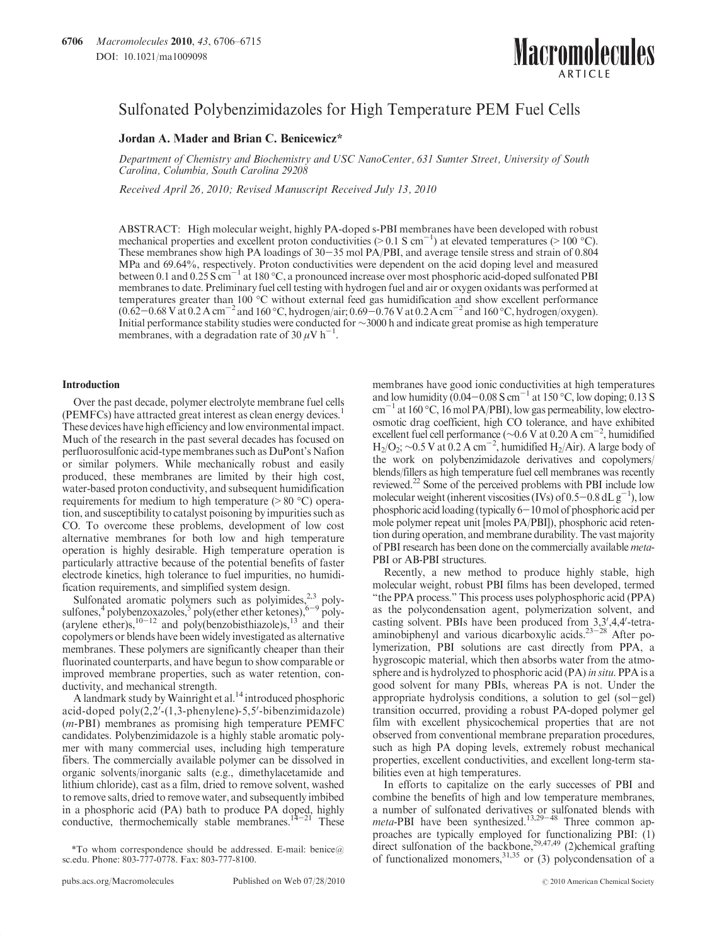

# Sulfonated Polybenzimidazoles for High Temperature PEM Fuel Cells

# Jordan A. Mader and Brian C. Benicewicz\*

Department of Chemistry and Biochemistry and USC NanoCenter, 631 Sumter Street, University of South Carolina, Columbia, South Carolina 29208

Received April 26, 2010; Revised Manuscript Received July 13, 2010

ABSTRACT: High molecular weight, highly PA-doped s-PBI membranes have been developed with robust mechanical properties and excellent proton conductivities ( $> 0.1$  S cm<sup>-1</sup>) at elevated temperatures ( $> 100$  °C). These membranes show high PA loadings of 30-35 mol PA/PBI, and average tensile stress and strain of 0.804 MPa and 69.64%, respectively. Proton conductivities were dependent on the acid doping level and measured between 0.1 and 0.25 S cm<sup>-1</sup> at 180 °C, a pronounced increase over most phosphoric acid-doped sulfonated PBI membranes to date. Preliminary fuel cell testing with hydrogen fuel and air or oxygen oxidants was performed at temperatures greater than 100 °C without external feed gas humidification and show excellent performance  $(0.62-0.68 \text{ V at } 0.2 \text{ A cm}^{-2} \text{ and } 160 \text{ °C}, \text{hydrogen/air}; 0.69-0.76 \text{ V at } 0.2 \text{ A cm}^{-2} \text{ and } 160 \text{ °C}, \text{hydrogen/oxygen}).$ Initial performance stability studies were conducted for ∼3000 h and indicate great promise as high temperature membranes, with a degradation rate of 30  $\mu$ V h<sup>-1</sup>.

## Introduction

Over the past decade, polymer electrolyte membrane fuel cells (PEMFCs) have attracted great interest as clean energy devices.<sup>1</sup> These devices have high efficiency and low environmental impact. Much of the research in the past several decades has focused on perfluorosulfonic acid-type membranes such as DuPont's Nafion or similar polymers. While mechanically robust and easily produced, these membranes are limited by their high cost, water-based proton conductivity, and subsequent humidification requirements for medium to high temperature  $(>80 \degree C)$  operation, and susceptibility to catalyst poisoning by impurities such as CO. To overcome these problems, development of low cost alternative membranes for both low and high temperature operation is highly desirable. High temperature operation is particularly attractive because of the potential benefits of faster electrode kinetics, high tolerance to fuel impurities, no humidification requirements, and simplified system design.

Sulfonated aromatic polymers such as polyimides, $2,3$  polysulfones,<sup>4</sup> polybenzoxazoles,<sup>5</sup> poly(ether ether ketones), $6-9$  poly-(arylene ether)s,<sup>10-12</sup> and poly(benzobisthiazole)s,<sup>13</sup> and their copolymers or blends have been widely investigated as alternative membranes. These polymers are significantly cheaper than their fluorinated counterparts, and have begun to show comparable or improved membrane properties, such as water retention, conductivity, and mechanical strength.

A landmark study by Wainright et al.<sup>14</sup> introduced phosphoric acid-doped poly(2,2'-(1,3-phenylene)-5,5'-bibenzimidazole) (m-PBI) membranes as promising high temperature PEMFC candidates. Polybenzimidazole is a highly stable aromatic polymer with many commercial uses, including high temperature fibers. The commercially available polymer can be dissolved in organic solvents/inorganic salts (e.g., dimethylacetamide and lithium chloride), cast as a film, dried to remove solvent, washed to remove salts, dried to remove water, and subsequently imbibed in a phosphoric acid (PA) bath to produce PA doped, highly conductive, thermochemically stable membranes.<sup>14-21</sup> These

membranes have good ionic conductivities at high temperatures and low humidity  $(0.04-0.08 \text{ S cm}^{-1}$  at 150 °C, low doping; 0.13 S  $\text{cm}^{-1}$  at 160 °C, 16 mol PA/PBI), low gas permeability, low electroosmotic drag coefficient, high CO tolerance, and have exhibited excellent fuel cell performance (∼0.6 V at 0.20 A cm<sup>-2</sup>, humidified  $H_2/O_2$ ; ~0.5 V at 0.2 A cm<sup>-2</sup>, humidified H<sub>2</sub>/Air). A large body of the work on polybenzimidazole derivatives and copolymers/ blends/fillers as high temperature fuel cell membranes was recently reviewed.<sup>22</sup> Some of the perceived problems with PBI include low molecular weight (inherent viscosities (IVs) of  $0.5-0.8$  dL  $g^{-1}$ ), low phosphoric acid loading (typically 6-10 mol of phosphoric acid per mole polymer repeat unit [moles PA/PBI]), phosphoric acid retention during operation, and membrane durability. The vast majority of PBI research has been done on the commercially available meta-PBI or AB-PBI structures.

**EMI CONFIRM (1993)**<br>
DOI: National methods and a statistical control methods are all the statistical control methods and a statistical control methods are all the statistical control methods are all the statistical contr Recently, a new method to produce highly stable, high molecular weight, robust PBI films has been developed, termed "the PPA process." This process uses polyphosphoric acid (PPA) as the polycondensation agent, polymerization solvent, and casting solvent. PBIs have been produced from  $3,3',4,4'$ -tetraaminobiphenyl and various dicarboxylic acids.23-<sup>28</sup> After polymerization, PBI solutions are cast directly from PPA, a hygroscopic material, which then absorbs water from the atmosphere and is hydrolyzed to phosphoric acid (PA) in situ. PPA is a good solvent for many PBIs, whereas PA is not. Under the appropriate hydrolysis conditions, a solution to gel (sol-gel) transition occurred, providing a robust PA-doped polymer gel film with excellent physicochemical properties that are not observed from conventional membrane preparation procedures, such as high PA doping levels, extremely robust mechanical properties, excellent conductivities, and excellent long-term stabilities even at high temperatures.

In efforts to capitalize on the early successes of PBI and combine the benefits of high and low temperature membranes, a number of sulfonated derivatives or sulfonated blends with  $meta-PBI$  have been synthesized.<sup>13,29-48</sup> Three common approaches are typically employed for functionalizing PBI: (1) direct sulfonation of the backbone,  $29,47,49$  (2)chemical grafting of functionalized monomers,  $31,35$  or (3) polycondensation of a

<sup>\*</sup>To whom correspondence should be addressed. E-mail: benice@ sc.edu. Phone: 803-777-0778. Fax: 803-777-8100.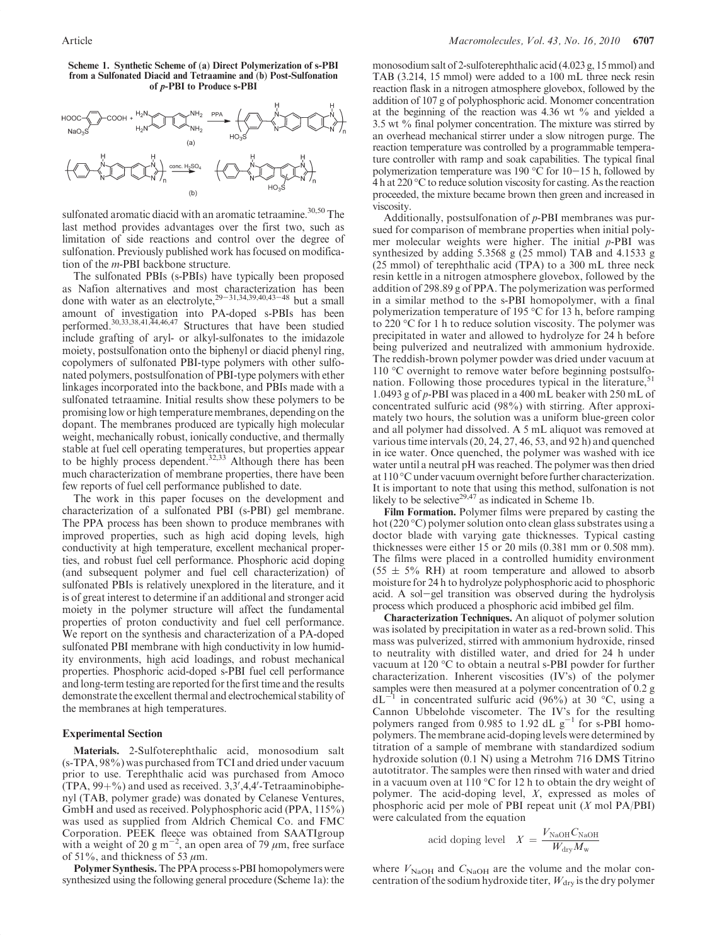Scheme 1. Synthetic Scheme of (a) Direct Polymerization of s-PBI from a Sulfonated Diacid and Tetraamine and (b) Post-Sulfonation of p-PBI to Produce s-PBI



sulfonated aromatic diacid with an aromatic tetraamine.<sup>30,50</sup> The last method provides advantages over the first two, such as limitation of side reactions and control over the degree of sulfonation. Previously published work has focused on modification of the m-PBI backbone structure.

The sulfonated PBIs (s-PBIs) have typically been proposed as Nafion alternatives and most characterization has been done with water as an electrolyte,  $29-31,34,39,40,43-48$  but a small amount of investigation into PA-doped s-PBIs has been performed.<sup>30,33,38,41,44,46,47</sup> Structures that have been studied include grafting of aryl- or alkyl-sulfonates to the imidazole moiety, postsulfonation onto the biphenyl or diacid phenyl ring, copolymers of sulfonated PBI-type polymers with other sulfonated polymers, postsulfonation of PBI-type polymers with ether linkages incorporated into the backbone, and PBIs made with a sulfonated tetraamine. Initial results show these polymers to be promising low or high temperature membranes, depending on the dopant. The membranes produced are typically high molecular weight, mechanically robust, ionically conductive, and thermally stable at fuel cell operating temperatures, but properties appear<br>to be highly process dependent.<sup>32,33</sup> Although there has been much characterization of membrane properties, there have been few reports of fuel cell performance published to date.

The work in this paper focuses on the development and characterization of a sulfonated PBI (s-PBI) gel membrane. The PPA process has been shown to produce membranes with improved properties, such as high acid doping levels, high conductivity at high temperature, excellent mechanical properties, and robust fuel cell performance. Phosphoric acid doping (and subsequent polymer and fuel cell characterization) of sulfonated PBIs is relatively unexplored in the literature, and it is of great interest to determine if an additional and stronger acid moiety in the polymer structure will affect the fundamental properties of proton conductivity and fuel cell performance. We report on the synthesis and characterization of a PA-doped sulfonated PBI membrane with high conductivity in low humidity environments, high acid loadings, and robust mechanical properties. Phosphoric acid-doped s-PBI fuel cell performance and long-term testing are reported for the first time and the results demonstrate the excellent thermal and electrochemical stability of the membranes at high temperatures.

## Experimental Section

Materials. 2-Sulfoterephthalic acid, monosodium salt (s-TPA, 98%) was purchased from TCI and dried under vacuum prior to use. Terephthalic acid was purchased from Amoco  $(TPA, 99 + \%)$  and used as received.  $3,3',4,4'-T$ etraaminobiphenyl (TAB, polymer grade) was donated by Celanese Ventures, GmbH and used as received. Polyphosphoric acid (PPA, 115%) was used as supplied from Aldrich Chemical Co. and FMC Corporation. PEEK fleece was obtained from SAATIgroup with a weight of 20 g m<sup>-2</sup>, an open area of 79  $\mu$ m, free surface of 51%, and thickness of 53  $\mu$ m.

Polymer Synthesis. The PPA process s-PBI homopolymers were synthesized using the following general procedure (Scheme 1a): the monosodium salt of 2-sulfoterephthalic acid (4.023 g, 15 mmol) and TAB (3.214, 15 mmol) were added to a 100 mL three neck resin reaction flask in a nitrogen atmosphere glovebox, followed by the addition of 107 g of polyphosphoric acid. Monomer concentration at the beginning of the reaction was  $4.36$  wt  $\%$  and yielded a 3.5 wt % final polymer concentration. The mixture was stirred by an overhead mechanical stirrer under a slow nitrogen purge. The reaction temperature was controlled by a programmable temperature controller with ramp and soak capabilities. The typical final polymerization temperature was 190 °C for 10-15 h, followed by 4 h at 220  $\rm{^{\circ}C}$  to reduce solution viscosity for casting. As the reaction proceeded, the mixture became brown then green and increased in viscosity.

Additionally, postsulfonation of p-PBI membranes was pursued for comparison of membrane properties when initial polymer molecular weights were higher. The initial p-PBI was synthesized by adding 5.3568 g (25 mmol) TAB and 4.1533 g (25 mmol) of terephthalic acid (TPA) to a 300 mL three neck resin kettle in a nitrogen atmosphere glovebox, followed by the addition of 298.89 g of PPA. The polymerization was performed in a similar method to the s-PBI homopolymer, with a final polymerization temperature of 195  $\degree$ C for 13 h, before ramping to 220  $\rm{^{\circ}C}$  for 1 h to reduce solution viscosity. The polymer was precipitated in water and allowed to hydrolyze for 24 h before being pulverized and neutralized with ammonium hydroxide. The reddish-brown polymer powder was dried under vacuum at  $110 \degree C$  overnight to remove water before beginning postsulfonation. Following those procedures typical in the literature,<sup>51</sup> 1.0493 g of p-PBI was placed in a 400 mL beaker with 250 mL of concentrated sulfuric acid (98%) with stirring. After approximately two hours, the solution was a uniform blue-green color and all polymer had dissolved. A 5 mL aliquot was removed at various time intervals (20, 24, 27, 46, 53, and 92 h) and quenched in ice water. Once quenched, the polymer was washed with ice water until a neutral pH was reached. The polymer was then dried at 110 °C under vacuum overnight before further characterization. It is important to note that using this method, sulfonation is not likely to be selective<sup>29,47</sup> as indicated in Scheme 1b.

Film Formation. Polymer films were prepared by casting the hot (220 °C) polymer solution onto clean glass substrates using a doctor blade with varying gate thicknesses. Typical casting thicknesses were either 15 or 20 mils (0.381 mm or 0.508 mm). The films were placed in a controlled humidity environment  $(55 \pm 5\% \text{ RH})$  at room temperature and allowed to absorb moisture for 24 h to hydrolyze polyphosphoric acid to phosphoric acid. A sol-gel transition was observed during the hydrolysis process which produced a phosphoric acid imbibed gel film.

Characterization Techniques. An aliquot of polymer solution was isolated by precipitation in water as a red-brown solid. This mass was pulverized, stirred with ammonium hydroxide, rinsed to neutrality with distilled water, and dried for 24 h under vacuum at  $120 \degree C$  to obtain a neutral s-PBI powder for further characterization. Inherent viscosities (IV's) of the polymer samples were then measured at a polymer concentration of 0.2 g  $dL^{-1}$  in concentrated sulfuric acid (96%) at 30 °C, using a Cannon Ubbelohde viscometer. The IV's for the resulting polymers ranged from 0.985 to 1.92 dL  $g^{-1}$  for s-PBI homopolymers. The membrane acid-doping levels were determined by titration of a sample of membrane with standardized sodium hydroxide solution (0.1 N) using a Metrohm 716 DMS Titrino autotitrator. The samples were then rinsed with water and dried in a vacuum oven at  $110^{\circ}$ C for 12 h to obtain the dry weight of polymer. The acid-doping level, X, expressed as moles of phosphoric acid per mole of PBI repeat unit  $(X \text{ mol } PA/PBI)$ were calculated from the equation

$$
ext{acid doping level} \quad X = \frac{V_{\text{NaOH}}C_{\text{NaOH}}}{W_{\text{dry}}M_{\text{w}}}
$$

where  $V_{\text{NaOH}}$  and  $C_{\text{NaOH}}$  are the volume and the molar concentration of the sodium hydroxide titer,  $W_{\text{dry}}$  is the dry polymer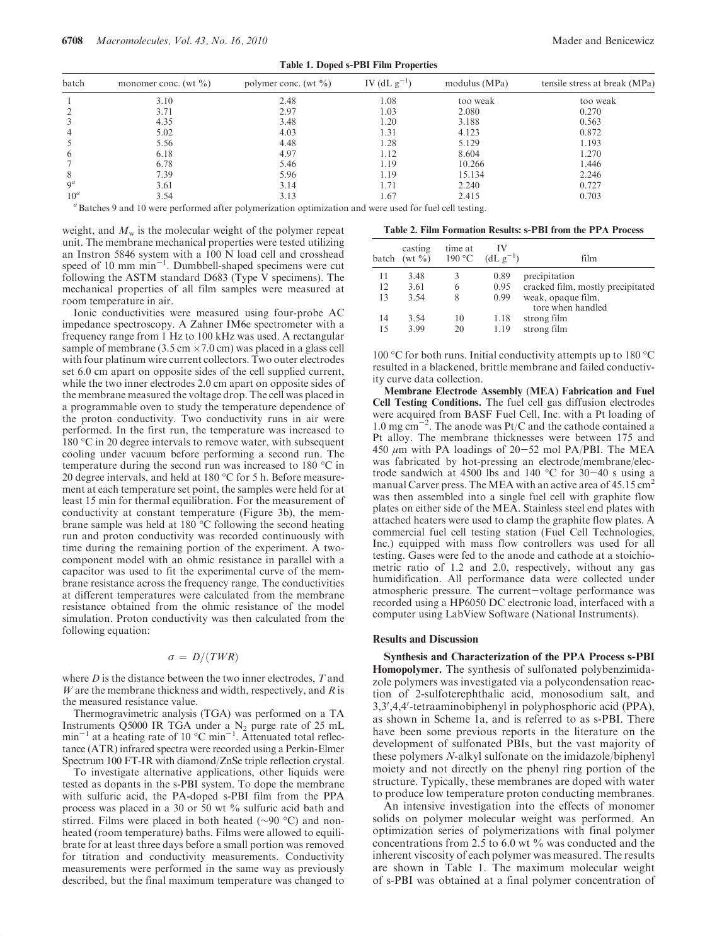| batch          | monomer conc. (wt $\%$ ) | polymer conc. (wt $\%$ ) | IV (dL $g^{-1}$ ) | modulus (MPa) | tensile stress at break (MPa) |
|----------------|--------------------------|--------------------------|-------------------|---------------|-------------------------------|
|                | 3.10                     | 2.48                     | 1.08              | too weak      | too weak                      |
|                | 3.71                     | 2.97                     | 1.03              | 2.080         | 0.270                         |
|                | 4.35                     | 3.48                     | 1.20              | 3.188         | 0.563                         |
| $\overline{4}$ | 5.02                     | 4.03                     | 1.31              | 4.123         | 0.872                         |
|                | 5.56                     | 4.48                     | 1.28              | 5.129         | 1.193                         |
| $\sigma$       | 6.18                     | 4.97                     | 1.12              | 8.604         | 1.270                         |
|                | 6.78                     | 5.46                     | 1.19              | 10.266        | 1.446                         |
| 8              | 7.39                     | 5.96                     | 1.19              | 15.134        | 2.246                         |
| 9 <sup>a</sup> | 3.61                     | 3.14                     | 1.71              | 2.240         | 0.727                         |
| $10^a$         | 3.54                     | 3.13                     | 1.67              | 2.415         | 0.703                         |

<sup>a</sup>Batches 9 and 10 were performed after polymerization optimization and were used for fuel cell testing.

weight, and  $M_w$  is the molecular weight of the polymer repeat unit. The membrane mechanical properties were tested utilizing an Instron 5846 system with a 100 N load cell and crosshead speed of 10 mm  $min^{-1}$ . Dumbbell-shaped specimens were cut following the ASTM standard D683 (Type V specimens). The mechanical properties of all film samples were measured at room temperature in air.

Ionic conductivities were measured using four-probe AC impedance spectroscopy. A Zahner IM6e spectrometer with a frequency range from 1 Hz to 100 kHz was used. A rectangular sample of membrane  $(3.5 \text{ cm} \times 7.0 \text{ cm})$  was placed in a glass cell with four platinum wire current collectors. Two outer electrodes set 6.0 cm apart on opposite sides of the cell supplied current, while the two inner electrodes 2.0 cm apart on opposite sides of the membrane measured the voltage drop. The cell was placed in a programmable oven to study the temperature dependence of the proton conductivity. Two conductivity runs in air were performed. In the first run, the temperature was increased to 180  $\degree$ C in 20 degree intervals to remove water, with subsequent cooling under vacuum before performing a second run. The temperature during the second run was increased to 180  $^{\circ}$ C in 20 degree intervals, and held at 180  $\degree$ C for 5 h. Before measurement at each temperature set point, the samples were held for at least 15 min for thermal equilibration. For the measurement of conductivity at constant temperature (Figure 3b), the membrane sample was held at 180  $\degree$ C following the second heating run and proton conductivity was recorded continuously with time during the remaining portion of the experiment. A twocomponent model with an ohmic resistance in parallel with a capacitor was used to fit the experimental curve of the membrane resistance across the frequency range. The conductivities at different temperatures were calculated from the membrane resistance obtained from the ohmic resistance of the model simulation. Proton conductivity was then calculated from the following equation:

#### $\sigma = D/(TWR)$

where  $D$  is the distance between the two inner electrodes,  $T$  and  $W$  are the membrane thickness and width, respectively, and  $R$  is the measured resistance value.

Thermogravimetric analysis (TGA) was performed on a TA Instruments Q5000 IR TGA under a  $N_2$  purge rate of 25 mL  $min^{-1}$  at a heating rate of 10 °C min<sup>-1</sup>. Attenuated total reflectance (ATR) infrared spectra were recorded using a Perkin-Elmer Spectrum 100 FT-IR with diamond/ZnSe triple reflection crystal.

To investigate alternative applications, other liquids were tested as dopants in the s-PBI system. To dope the membrane with sulfuric acid, the PA-doped s-PBI film from the PPA process was placed in a 30 or 50 wt % sulfuric acid bath and stirred. Films were placed in both heated (∼90 °C) and nonheated (room temperature) baths. Films were allowed to equilibrate for at least three days before a small portion was removed for titration and conductivity measurements. Conductivity measurements were performed in the same way as previously described, but the final maximum temperature was changed to

Table 2. Film Formation Results: s-PBI from the PPA Process

|    | casting<br>batch (wt $\%$ ) | time at<br>190 °C | IV<br>$(dL g^{-1})$ | film                                    |
|----|-----------------------------|-------------------|---------------------|-----------------------------------------|
| 11 | 3.48                        | 3                 | 0.89                | precipitation                           |
| 12 | 3.61                        | 6                 | 0.95                | cracked film, mostly precipitated       |
| 13 | 3.54                        | 8                 | 0.99                | weak, opaque film,<br>tore when handled |
| 14 | 3.54                        | 10                | 1.18                | strong film                             |
| 15 | 3.99                        | 20                | 1.19                | strong film                             |

100 °C for both runs. Initial conductivity attempts up to 180 °C resulted in a blackened, brittle membrane and failed conductivity curve data collection.

Membrane Electrode Assembly (MEA) Fabrication and Fuel Cell Testing Conditions. The fuel cell gas diffusion electrodes were acquired from BASF Fuel Cell, Inc. with a Pt loading of 1.0 mg cm<sup>-2</sup>. The anode was Pt/C and the cathode contained a Pt alloy. The membrane thicknesses were between 175 and 450  $\mu$ m with PA loadings of 20-52 mol PA/PBI. The MEA was fabricated by hot-pressing an electrode/membrane/electrode sandwich at 4500 lbs and 140 °C for 30-40 s using a manual Carver press. The MEA with an active area of 45.15 cm<sup>2</sup> was then assembled into a single fuel cell with graphite flow plates on either side of the MEA. Stainless steel end plates with attached heaters were used to clamp the graphite flow plates. A commercial fuel cell testing station (Fuel Cell Technologies, Inc.) equipped with mass flow controllers was used for all testing. Gases were fed to the anode and cathode at a stoichiometric ratio of 1.2 and 2.0, respectively, without any gas humidification. All performance data were collected under atmospheric pressure. The current-voltage performance was recorded using a HP6050 DC electronic load, interfaced with a computer using LabView Software (National Instruments).

### Results and Discussion

Synthesis and Characterization of the PPA Process s-PBI Homopolymer. The synthesis of sulfonated polybenzimidazole polymers was investigated via a polycondensation reaction of 2-sulfoterephthalic acid, monosodium salt, and 3,3',4,4'-tetraaminobiphenyl in polyphosphoric acid (PPA), as shown in Scheme 1a, and is referred to as s-PBI. There have been some previous reports in the literature on the development of sulfonated PBIs, but the vast majority of these polymers N-alkyl sulfonate on the imidazole/biphenyl moiety and not directly on the phenyl ring portion of the structure. Typically, these membranes are doped with water to produce low temperature proton conducting membranes.

An intensive investigation into the effects of monomer solids on polymer molecular weight was performed. An optimization series of polymerizations with final polymer concentrations from 2.5 to 6.0 wt % was conducted and the inherent viscosity of each polymer was measured. The results are shown in Table 1. The maximum molecular weight of s-PBI was obtained at a final polymer concentration of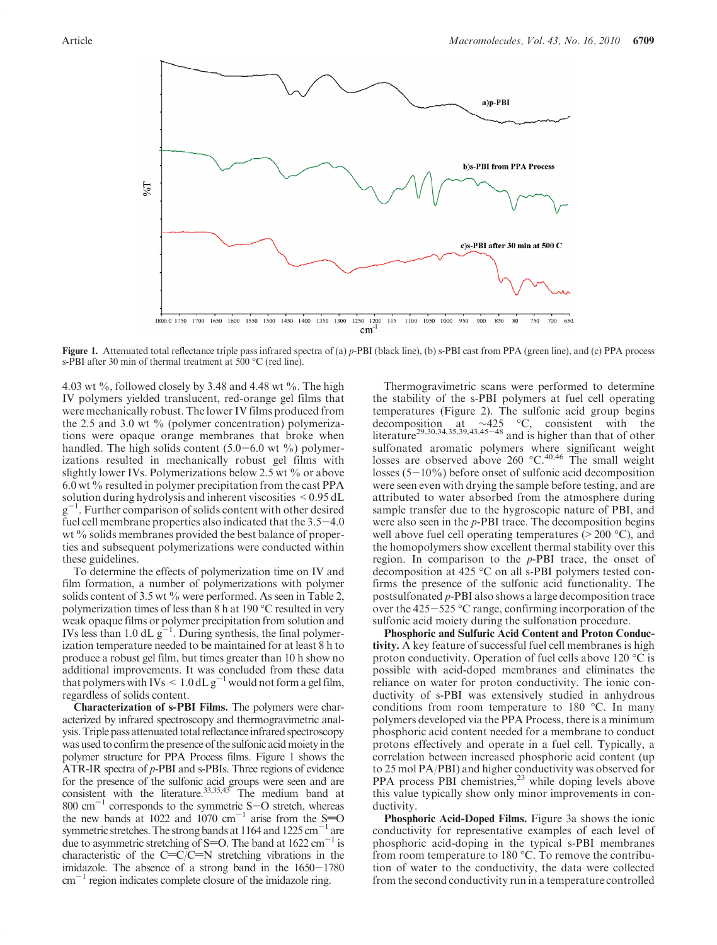

**Figure 1.** Attenuated total reflectance triple pass infrared spectra of (a)  $p$ -PBI (black line), (b) s-PBI cast from PPA (green line), and (c) PPA process s-PBI after 30 min of thermal treatment at 500  $^{\circ}$ C (red line).

4.03 wt  $\%$ , followed closely by 3.48 and 4.48 wt  $\%$ . The high IV polymers yielded translucent, red-orange gel films that were mechanically robust. The lower IV films produced from the 2.5 and 3.0 wt  $\%$  (polymer concentration) polymerizations were opaque orange membranes that broke when handled. The high solids content  $(5.0-6.0 \text{ wt } %)$  polymerizations resulted in mechanically robust gel films with slightly lower IVs. Polymerizations below 2.5 wt % or above 6.0 wt % resulted in polymer precipitation from the cast PPA solution during hydrolysis and inherent viscosities <0.95 dL g<sup>-1</sup>. Further comparison of solids content with other desired fuel cell membrane properties also indicated that the 3.5-4.0 wt % solids membranes provided the best balance of properties and subsequent polymerizations were conducted within these guidelines.

To determine the effects of polymerization time on IV and film formation, a number of polymerizations with polymer solids content of 3.5 wt % were performed. As seen in Table 2, polymerization times of less than 8 h at 190  $^{\circ}$ C resulted in very weak opaque films or polymer precipitation from solution and IVs less than 1.0 dL  $g^{-1}$ . During synthesis, the final polymerization temperature needed to be maintained for at least 8 h to produce a robust gel film, but times greater than 10 h show no additional improvements. It was concluded from these data that polymers with IVs  $\leq 1.0$  dL g<sup>-1</sup> would not form a gel film, regardless of solids content.

Characterization of s-PBI Films. The polymers were characterized by infrared spectroscopy and thermogravimetric analysis.Triple pass attenuated total reflectanceinfrared spectroscopy was used to confirm the presence of the sulfonic acidmoietyin the polymer structure for PPA Process films. Figure 1 shows the ATR-IR spectra of p-PBI and s-PBIs. Three regions of evidence for the presence of the sulfonic acid groups were seen and are consistent with the literature.<sup>33,35,43</sup> The medium band at 800  $\text{cm}^{-1}$  corresponds to the symmetric S-O stretch, whereas the new bands at 1022 and 1070  $cm^{-1}$  arise from the S=O symmetric stretches. The strong bands at  $1164$  and  $1225 \text{ cm}^{-1}$  are due to asymmetric stretching of  $S=O$ . The band at 1622 cm<sup>-1</sup> is characteristic of the  $C=C/C=N$  stretching vibrations in the imidazole. The absence of a strong band in the 1650-1780  $cm^{-1}$  region indicates complete closure of the imidazole ring.

Thermogravimetric scans were performed to determine the stability of the s-PBI polymers at fuel cell operating temperatures (Figure 2). The sulfonic acid group begins decomposition at ∼425 °C, consistent with the literature<sup>29,30,34,35,39,43,45–48</sup> and is higher than that of other sulfonated aromatic polymers where significant weight losses are observed above 260  $\mathrm{^{\circ}C^{40,46}}$  The small weight losses  $(5-10\%)$  before onset of sulfonic acid decomposition were seen even with drying the sample before testing, and are attributed to water absorbed from the atmosphere during sample transfer due to the hygroscopic nature of PBI, and were also seen in the p-PBI trace. The decomposition begins well above fuel cell operating temperatures ( $>$  200 °C), and the homopolymers show excellent thermal stability over this region. In comparison to the  $p$ -PBI trace, the onset of decomposition at 425 °C on all s-PBI polymers tested confirms the presence of the sulfonic acid functionality. The postsulfonated p-PBI also shows a large decomposition trace over the  $425-525$  °C range, confirming incorporation of the sulfonic acid moiety during the sulfonation procedure.

Phosphoric and Sulfuric Acid Content and Proton Conductivity. A key feature of successful fuel cell membranes is high proton conductivity. Operation of fuel cells above 120  $\degree$ C is possible with acid-doped membranes and eliminates the reliance on water for proton conductivity. The ionic conductivity of s-PBI was extensively studied in anhydrous conditions from room temperature to  $180^{\circ}$ C. In many polymers developed via the PPA Process, there is a minimum phosphoric acid content needed for a membrane to conduct protons effectively and operate in a fuel cell. Typically, a correlation between increased phosphoric acid content (up to 25 mol PA/PBI) and higher conductivity was observed for PPA process PBI chemistries,<sup>23</sup> while doping levels above this value typically show only minor improvements in conductivity.

Phosphoric Acid-Doped Films. Figure 3a shows the ionic conductivity for representative examples of each level of phosphoric acid-doping in the typical s-PBI membranes from room temperature to 180  $^{\circ}$ C. To remove the contribution of water to the conductivity, the data were collected from the second conductivity run in a temperature controlled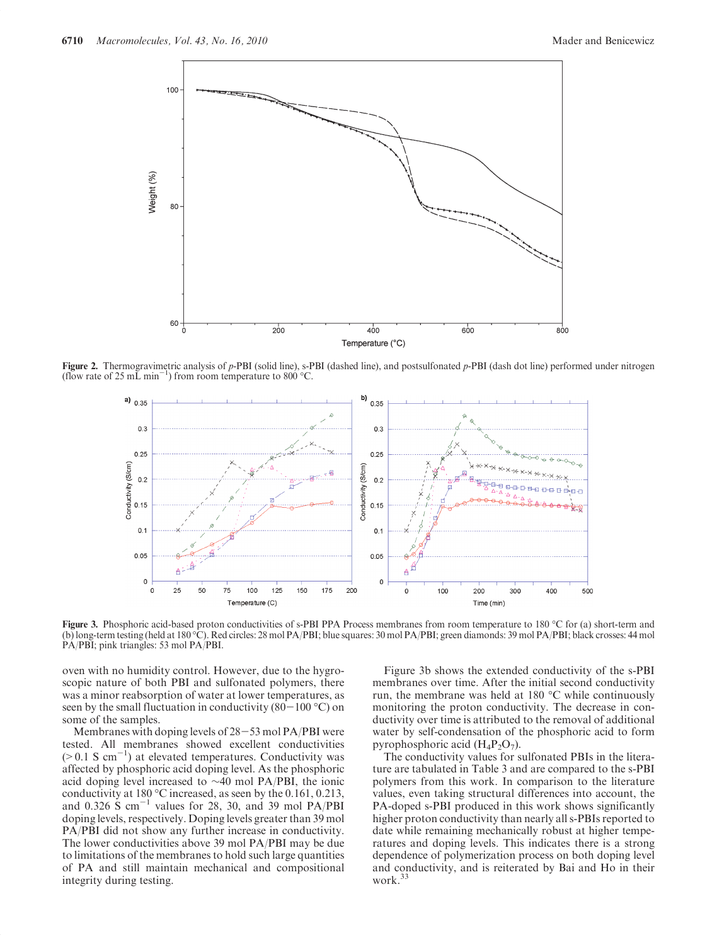

Figure 2. Thermogravimetric analysis of  $p$ -PBI (solid line), s-PBI (dashed line), and postsulfonated  $p$ -PBI (dash dot line) performed under nitrogen (flow rate of 25 mL min<sup>-1</sup>) from room temperature to 800<sup>o</sup>C.



Figure 3. Phosphoric acid-based proton conductivities of s-PBI PPA Process membranes from room temperature to 180 °C for (a) short-term and (b) long-term testing (held at 180 °C). Red circles: 28 mol PA/PBI; blue squares: 30 mol PA/PBI; green diamonds: 39 mol PA/PBI; black crosses: 44 mol PA/PBI; pink triangles: 53 mol PA/PBI.

oven with no humidity control. However, due to the hygroscopic nature of both PBI and sulfonated polymers, there was a minor reabsorption of water at lower temperatures, as seen by the small fluctuation in conductivity  $(80-100 \degree C)$  on some of the samples.

Membranes with doping levels of  $28-53$  mol PA/PBI were tested. All membranes showed excellent conductivities  $(>0.1 \text{ S cm}^{-1})$  at elevated temperatures. Conductivity was affected by phosphoric acid doping level. As the phosphoric acid doping level increased to ∼40 mol PA/PBI, the ionic conductivity at 180 °C increased, as seen by the 0.161, 0.213, and 0.326 S  $cm^{-1}$  values for 28, 30, and 39 mol PA/PBI doping levels, respectively. Doping levels greater than 39 mol PA/PBI did not show any further increase in conductivity. The lower conductivities above 39 mol PA/PBI may be due to limitations of the membranes to hold such large quantities of PA and still maintain mechanical and compositional integrity during testing.

Figure 3b shows the extended conductivity of the s-PBI membranes over time. After the initial second conductivity run, the membrane was held at  $180^{\circ}$ C while continuously monitoring the proton conductivity. The decrease in conductivity over time is attributed to the removal of additional water by self-condensation of the phosphoric acid to form pyrophosphoric acid  $(H_4P_2O_7)$ .

The conductivity values for sulfonated PBIs in the literature are tabulated in Table 3 and are compared to the s-PBI polymers from this work. In comparison to the literature values, even taking structural differences into account, the PA-doped s-PBI produced in this work shows significantly higher proton conductivity than nearly all s-PBIs reported to date while remaining mechanically robust at higher temperatures and doping levels. This indicates there is a strong dependence of polymerization process on both doping level and conductivity, and is reiterated by Bai and Ho in their work.<sup>33</sup>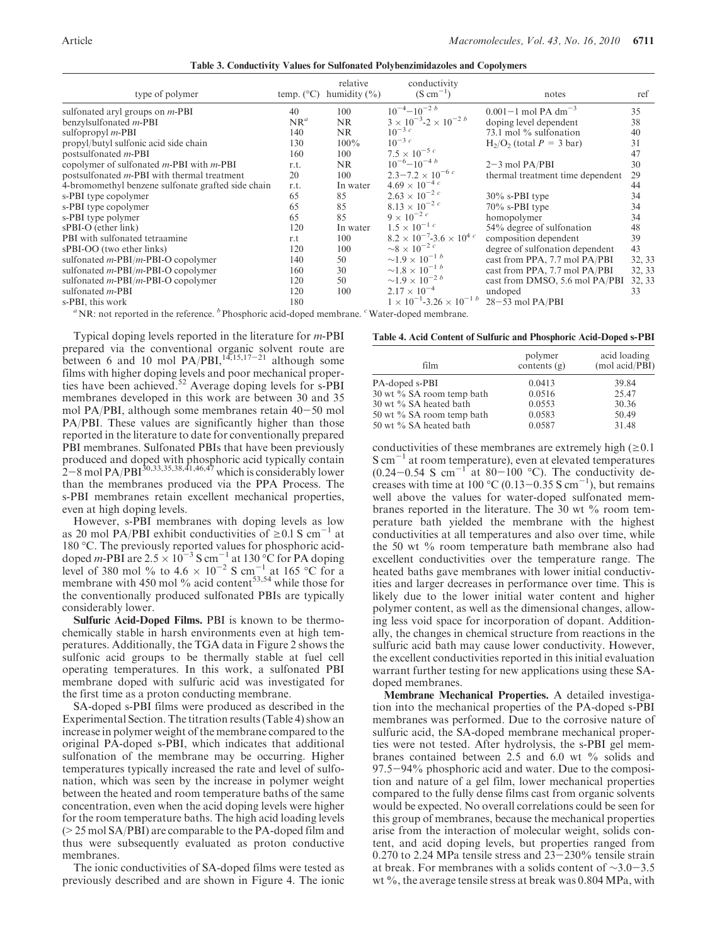|  | Table 3. Conductivity Values for Sulfonated Polybenzimidazoles and Copolymers |  |
|--|-------------------------------------------------------------------------------|--|
|  |                                                                               |  |

| type of polymer                                    | temp. $(^{\circ}C)$ | relative<br>humidity $(\% )$ | conductivity<br>$(S \text{ cm}^{-1})$       | notes                               | ref    |
|----------------------------------------------------|---------------------|------------------------------|---------------------------------------------|-------------------------------------|--------|
| sulfonated aryl groups on $m$ -PBI                 | 40                  | 100                          | $10^{-4} - 10^{-2}$                         | $0.001 - 1$ mol PA dm <sup>-3</sup> | 35     |
| benzylsulfonated <i>m</i> -PBI                     | $NR^a$              | NR                           | $3 \times 10^{-3}$ -2 $\times 10^{-2}$ b    | doping level dependent              | 38     |
|                                                    | 140                 | NR.                          | $10^{-3}$ c                                 | 73.1 mol % sulfonation              | 40     |
| sulfopropyl $m$ -PBI                               |                     |                              |                                             |                                     |        |
| propyl/butyl sulfonic acid side chain              | 130                 | $100\%$                      | $10^{-3}$ c                                 | $H_2/O_2$ (total $P = 3$ bar)       | 31     |
| postsulfonated <i>m</i> -PBI                       | 160                 | 100                          | $7.5 \times 10^{-5}$ c                      |                                     | 47     |
| copolymer of sulfonated $m$ -PBI with $m$ -PBI     | r.t.                | NR.                          | $10^{-6} - 10^{-4}$                         | $2-3$ mol PA/PBI                    | 30     |
| postsulfonated $m$ -PBI with thermal treatment     | 20                  | 100                          | $2.3 - 7.2 \times 10^{-6}$ c                | thermal treatment time dependent    | 29     |
| 4-bromomethyl benzene sulfonate grafted side chain | r.t.                | In water                     | $4.69 \times 10^{-4}$ c                     |                                     | 44     |
| s-PBI type copolymer                               | 65                  | 85                           | $2.63 \times 10^{-2}$ c                     | $30\%$ s-PBI type                   | 34     |
| s-PBI type copolymer                               | 65                  | 85                           | $8.13 \times 10^{-2}$ c                     | $70\%$ s-PBI type                   | 34     |
| s-PBI type polymer                                 | 65                  | 85                           | $9 \times 10^{-2}$ c                        | homopolymer                         | 34     |
| sPBI-O (ether link)                                | 120                 | In water                     | $1.5 \times 10^{-1}$ c                      | 54% degree of sulfonation           | 48     |
| PBI with sulfonated tetraamine                     | r.t                 | 100                          | $8.2 \times 10^{-7}$ -3.6 $\times 10^{4}$ c | composition dependent               | 39     |
| sPBI-OO (two ether links)                          | 120                 | 100                          | $\sim 8 \times 10^{-2}$ c                   | degree of sulfonation dependent     | 43     |
| sulfonated $m$ -PBI/m-PBI-O copolymer              | 140                 | 50                           | $\sim$ 1.9 $\times$ 10 <sup>-1</sup> b      | cast from PPA, 7.7 mol PA/PBI       | 32, 33 |
| sulfonated $m$ -PBI/ $m$ -PBI-O copolymer          | 160                 | 30                           | $\sim 1.8 \times 10^{-1}$ b                 | cast from PPA, 7.7 mol PA/PBI       | 32, 33 |
| sulfonated $m$ -PBI/m-PBI-O copolymer              | 120                 | 50                           | $\sim$ 1.9 $\times$ 10 <sup>-2 b</sup>      | cast from DMSO, 5.6 mol PA/PBI      | 32, 33 |
| sulfonated $m$ -PBI                                | 120                 | 100                          | $2.17 \times 10^{-4}$                       | undoped                             | 33     |
| s-PBI, this work                                   | 180                 |                              | $1 \times 10^{-1}$ -3.26 $\times 10^{-1}$ b | $28 - 53$ mol PA/PBI                |        |

s-PBI, this work  $1 \times 10^{-1}$ -3.26  $\times 10^{-6}$ <br>
<sup>4</sup>NR: not reported in the reference. <sup>b</sup> Phosphoric acid-doped membrane. <sup>c</sup> Water-doped membrane.

Typical doping levels reported in the literature for m-PBI prepared via the conventional organic solvent route are<br>between 6 and 10 mol  $PA/PBI$ ,  $14,15,17-21$  although some films with higher doping levels and poor mechanical properties have been achieved.<sup>52</sup> Average doping levels for s-PBI membranes developed in this work are between 30 and 35 mol PA/PBI, although some membranes retain 40-50 mol PA/PBI. These values are significantly higher than those reported in the literature to date for conventionally prepared PBI membranes. Sulfonated PBIs that have been previously produced and doped with phosphoric acid typically contain  $2-8$  mol PA/PBI<sup>30,33,35,38,41,46,47</sup> which is considerably lower than the membranes produced via the PPA Process. The s-PBI membranes retain excellent mechanical properties, even at high doping levels.

However, s-PBI membranes with doping levels as low as 20 mol PA/PBI exhibit conductivities of  $\geq 0.1$  S cm<sup>-1</sup> at 180 °C. The previously reported values for phosphoric aciddoped *m*-PBI are  $2.5 \times 10^{-3}$  S cm<sup>-1</sup> at 130 °C for PA doping level of 380 mol % to  $4.6 \times 10^{-2}$  S cm<sup>-1</sup> at 165 °C for a membrane with 450 mol  $\%$  acid content<sup>53,54</sup> while those for the conventionally produced sulfonated PBIs are typically considerably lower.

Sulfuric Acid-Doped Films. PBI is known to be thermochemically stable in harsh environments even at high temperatures. Additionally, the TGA data in Figure 2 shows the sulfonic acid groups to be thermally stable at fuel cell operating temperatures. In this work, a sulfonated PBI membrane doped with sulfuric acid was investigated for the first time as a proton conducting membrane.

SA-doped s-PBI films were produced as described in the Experimental Section. The titration results (Table 4) show an increase in polymer weight of the membrane compared to the original PA-doped s-PBI, which indicates that additional sulfonation of the membrane may be occurring. Higher temperatures typically increased the rate and level of sulfonation, which was seen by the increase in polymer weight between the heated and room temperature baths of the same concentration, even when the acid doping levels were higher for the room temperature baths. The high acid loading levels (>25 mol SA/PBI) are comparable to the PA-doped film and thus were subsequently evaluated as proton conductive membranes.

The ionic conductivities of SA-doped films were tested as previously described and are shown in Figure 4. The ionic

| Table 4. Acid Content of Sulfuric and Phosphoric Acid-Doped s-PBI |  |  |
|-------------------------------------------------------------------|--|--|
|-------------------------------------------------------------------|--|--|

| film                      | polymer<br>contents $(g)$ | acid loading<br>(mol acid/PBI) |
|---------------------------|---------------------------|--------------------------------|
| PA-doped s-PBI            | 0.0413                    | 39.84                          |
| 30 wt % SA room temp bath | 0.0516                    | 25.47                          |
| 30 wt % SA heated bath    | 0.0553                    | 30.36                          |
| 50 wt % SA room temp bath | 0.0583                    | 50.49                          |
| 50 wt % SA heated bath    | 0.0587                    | 31.48                          |

conductivities of these membranes are extremely high  $(\geq 0.1)$  $S \text{ cm}^{-1}$  at room temperature), even at elevated temperatures  $(0.24-0.54$  S cm<sup>-1</sup> at 80-100 °C). The conductivity decreases with time at 100 °C (0.13–0.35 S cm<sup>-1</sup>), but remains well above the values for water-doped sulfonated membranes reported in the literature. The 30 wt % room temperature bath yielded the membrane with the highest conductivities at all temperatures and also over time, while the 50 wt % room temperature bath membrane also had excellent conductivities over the temperature range. The heated baths gave membranes with lower initial conductivities and larger decreases in performance over time. This is likely due to the lower initial water content and higher polymer content, as well as the dimensional changes, allowing less void space for incorporation of dopant. Additionally, the changes in chemical structure from reactions in the sulfuric acid bath may cause lower conductivity. However, the excellent conductivities reported in this initial evaluation warrant further testing for new applications using these SAdoped membranes.

Membrane Mechanical Properties. A detailed investigation into the mechanical properties of the PA-doped s-PBI membranes was performed. Due to the corrosive nature of sulfuric acid, the SA-doped membrane mechanical properties were not tested. After hydrolysis, the s-PBI gel membranes contained between 2.5 and 6.0 wt % solids and 97.5-94% phosphoric acid and water. Due to the composition and nature of a gel film, lower mechanical properties compared to the fully dense films cast from organic solvents would be expected. No overall correlations could be seen for this group of membranes, because the mechanical properties arise from the interaction of molecular weight, solids content, and acid doping levels, but properties ranged from  $0.270$  to 2.24 MPa tensile stress and  $23-230\%$  tensile strain at break. For membranes with a solids content of ∼3.0-3.5 wt  $\%$ , the average tensile stress at break was 0.804 MPa, with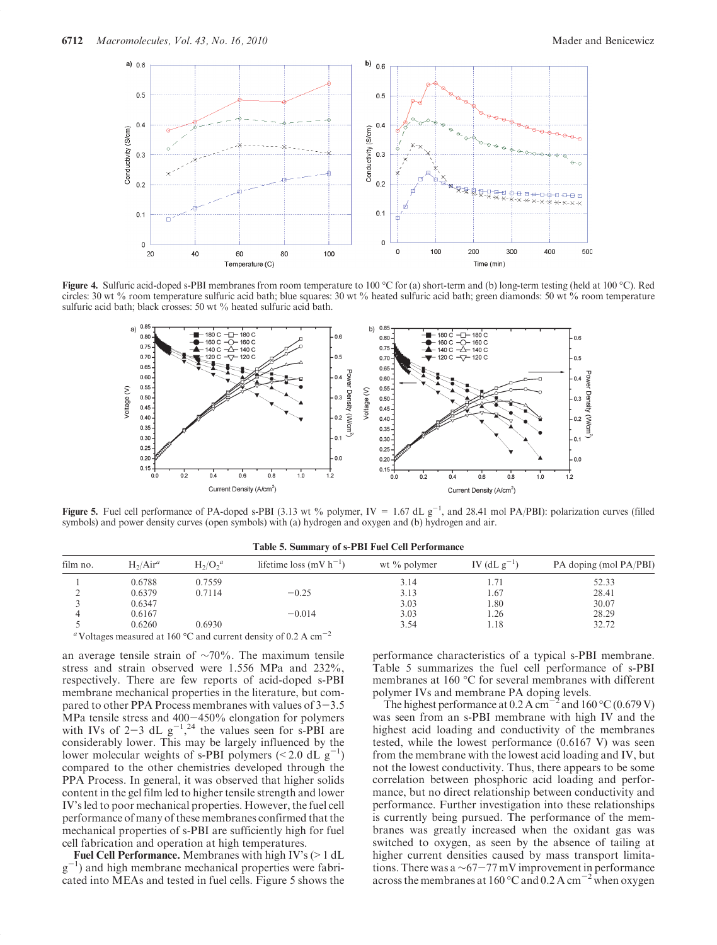

Figure 4. Sulfuric acid-doped s-PBI membranes from room temperature to 100 °C for (a) short-term and (b) long-term testing (held at 100 °C). Red circles: 30 wt  $\%$  room temperature sulfuric acid bath; blue squares: 30 wt  $\%$  heated sulfuric acid bath; green diamonds: 50 wt  $\%$  room temperature sulfuric acid bath; black crosses: 50 wt % heated sulfuric acid bath.



Figure 5. Fuel cell performance of PA-doped s-PBI (3.13 wt % polymer, IV = 1.67 dL  $g^{-1}$ , and 28.41 mol PA/PBI): polarization curves (filled symbols) and power density curves (open symbols) with (a) hydrogen and oxygen and (b) hydrogen and air.

|--|

| film no. | $H_2/Air^a$ | $H_2/O_2^a$ | lifetime loss (mV $h^{-1}$ ) | wt $\%$ polymer | IV (dL $g^{-1}$ ) | PA doping (mol PA/PBI) |
|----------|-------------|-------------|------------------------------|-----------------|-------------------|------------------------|
|          | 0.6788      | 0.7559      |                              | 3.14            |                   | 52.33                  |
|          | 0.6379      | 0.7114      | $-0.25$                      | 3.13            | 1.67              | 28.41                  |
|          | 0.6347      |             |                              | 3.03            | 1.80              | 30.07                  |
|          | 0.6167      |             | $-0.014$                     | 3.03            | 1.26              | 28.29                  |
|          | 0.6260      | 0.6930      |                              | 3.54            | 1.18              | 32.72                  |
|          |             |             |                              |                 |                   |                        |

Voltages measured at 160  $\rm{^{\circ}C}$  and current density of 0.2 A cm

an average tensile strain of ∼70%. The maximum tensile stress and strain observed were 1.556 MPa and 232%, respectively. There are few reports of acid-doped s-PBI membrane mechanical properties in the literature, but compared to other PPA Process membranes with values of  $3-3.5$ MPa tensile stress and 400-450% elongation for polymers with IVs of 2-3 dL  $g^{-1}$ ,<sup>24</sup> the values seen for s-PBI are considerably lower. This may be largely influenced by the lower molecular weights of s-PBI polymers (<2.0 dL  $g^{-1}$ ) compared to the other chemistries developed through the PPA Process. In general, it was observed that higher solids content in the gel film led to higher tensile strength and lower IV's led to poor mechanical properties. However, the fuel cell performance of many of these membranes confirmed that the mechanical properties of s-PBI are sufficiently high for fuel cell fabrication and operation at high temperatures.

Fuel Cell Performance. Membranes with high IV's (>1 dL  $g^{-1}$ ) and high membrane mechanical properties were fabricated into MEAs and tested in fuel cells. Figure 5 shows the performance characteristics of a typical s-PBI membrane. Table 5 summarizes the fuel cell performance of s-PBI membranes at 160  $\degree$ C for several membranes with different polymer IVs and membrane PA doping levels.

The highest performance at  $0.2 \text{ A cm}^{-2}$  and  $160 \degree \text{C}$  (0.679 V) was seen from an s-PBI membrane with high IV and the highest acid loading and conductivity of the membranes tested, while the lowest performance (0.6167 V) was seen from the membrane with the lowest acid loading and IV, but not the lowest conductivity. Thus, there appears to be some correlation between phosphoric acid loading and performance, but no direct relationship between conductivity and performance. Further investigation into these relationships is currently being pursued. The performance of the membranes was greatly increased when the oxidant gas was switched to oxygen, as seen by the absence of tailing at higher current densities caused by mass transport limitations. There was a ∼67-77 mV improvement in performance across the membranes at 160  $^{\circ}$ C and 0.2 A cm<sup>-2</sup> when oxygen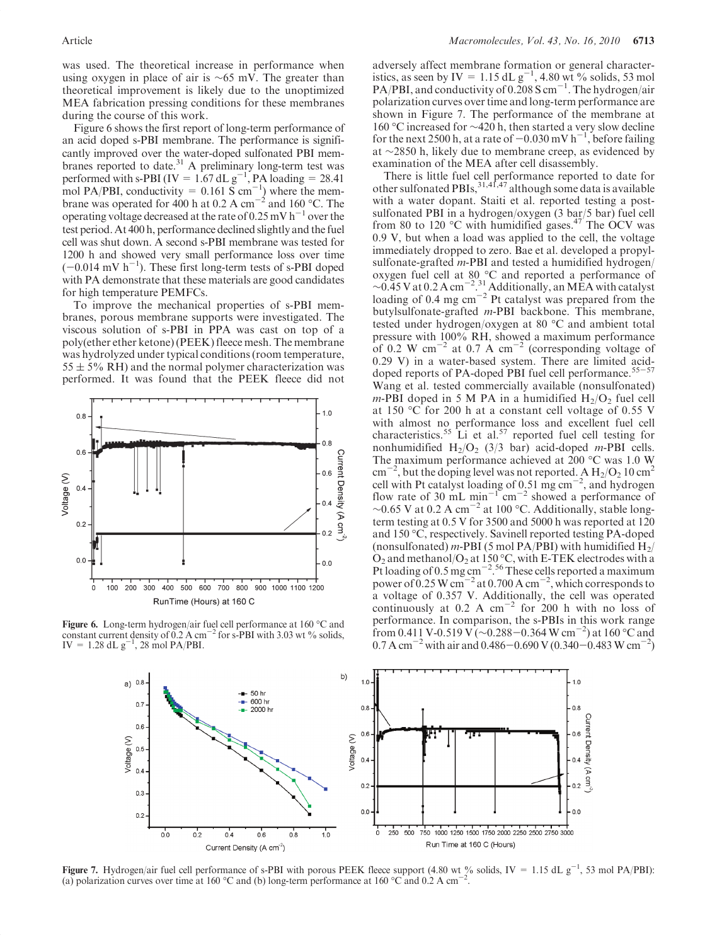was used. The theoretical increase in performance when using oxygen in place of air is ∼65 mV. The greater than theoretical improvement is likely due to the unoptimized MEA fabrication pressing conditions for these membranes during the course of this work.

Figure 6 shows the first report of long-term performance of an acid doped s-PBI membrane. The performance is significantly improved over the water-doped sulfonated PBI membranes reported to date. $31$  A preliminary long-term test was performed with s-PBI (IV =  $1.67$  dL g<sup>-1</sup>, PA loading = 28.41) mol PA/PBI, conductivity =  $0.161 \text{ S cm}^{-1}$ ) where the membrane was operated for 400 h at 0.2 A cm<sup>-2</sup> and 160 °C. The operating voltage decreased at the rate of  $0.25 \text{ mV h}^{-1}$  over the test period. At 400 h, performance declined slightly and the fuel cell was shut down. A second s-PBI membrane was tested for 1200 h and showed very small performance loss over time  $(-0.014 \text{ mV h}^{-1})$ . These first long-term tests of s-PBI doped with PA demonstrate that these materials are good candidates for high temperature PEMFCs.

To improve the mechanical properties of s-PBI membranes, porous membrane supports were investigated. The viscous solution of s-PBI in PPA was cast on top of a poly(ether ether ketone) (PEEK) fleece mesh. The membrane was hydrolyzed under typical conditions (room temperature,  $55 \pm 5\%$  RH) and the normal polymer characterization was performed. It was found that the PEEK fleece did not



Figure 6. Long-term hydrogen/air fuel cell performance at  $160^{\circ}$ C and constant current density of  $0.2 \text{ A cm}^{-2}$  for s-PBI with 3.03 wt % solids,  $IV = 1.28$  dL  $g^{-1}$ , 28 mol PA/PBI.

adversely affect membrane formation or general characteristics, as seen by IV = 1.15 dL  $g^{-1}$ , 4.80 wt % solids, 53 mol  $PA/PBI$ , and conductivity of 0.208 S cm<sup>-1</sup>. The hydrogen/air polarization curves over time and long-term performance are shown in Figure 7. The performance of the membrane at 160 C increased for ∼420 h, then started a very slow decline for the next 2500 h, at a rate of  $-0.030$  mV h<sup>-1</sup>, before failing at ∼2850 h, likely due to membrane creep, as evidenced by examination of the MEA after cell disassembly.

There is little fuel cell performance reported to date for other sulfonated PBIs,  $31,41,47$  although some data is available with a water dopant. Staiti et al. reported testing a postsulfonated PBI in a hydrogen/oxygen (3 bar/5 bar) fuel cell from 80 to 120 °C with humidified gases.<sup>47</sup> The OCV was 0.9 V, but when a load was applied to the cell, the voltage immediately dropped to zero. Bae et al. developed a propylsulfonate-grafted *m*-PBI and tested a humidified hydrogen/ oxygen fuel cell at 80 °C and reported a performance of  $\sim$ 0.45 V at 0.2 A cm<sup>-2</sup>.<sup>31</sup> Additionally, an MEA with catalyst loading of 0.4 mg  $\text{cm}^{-2}$  Pt catalyst was prepared from the butylsulfonate-grafted m-PBI backbone. This membrane, tested under hydrogen/oxygen at 80  $^{\circ}$ C and ambient total pressure with 100% RH, showed a maximum performance of 0.2 W cm<sup>-2</sup> at 0.7 A cm<sup>-2</sup> (corresponding voltage of 0.29 V) in a water-based system. There are limited aciddoped reports of PA-doped PBI fuel cell performance.<sup>55-57</sup> Wang et al. tested commercially available (nonsulfonated) *m*-PBI doped in 5 M PA in a humidified  $H_2/O_2$  fuel cell at 150  $\degree$ C for 200 h at a constant cell voltage of 0.55 V with almost no performance loss and excellent fuel cell characteristics.<sup>55</sup> Li et al.<sup>57</sup> reported fuel cell testing for nonhumidified  $H_2/O_2$  (3/3 bar) acid-doped *m*-PBI cells. The maximum performance achieved at 200  $^{\circ}$ C was 1.0 W  $\text{cm}^{-2}$ , but the doping level was not reported. A H<sub>2</sub>/O<sub>2</sub> 10 cm<sup>2</sup> cell with Pt catalyst loading of 0.51 mg cm<sup>-2</sup>, and hydrogen flow rate of 30 mL min<sup>-1</sup> cm<sup>-2</sup> showed a performance of  $\sim$ 0.65 V at 0.2 A cm<sup>-2</sup> at 100 °C. Additionally, stable longterm testing at 0.5 V for 3500 and 5000 h was reported at 120 and 150 °C, respectively. Savinell reported testing PA-doped (nonsulfonated) *m*-PBI (5 mol PA/PBI) with humidified  $H_2$ /  $O_2$  and methanol/ $O_2$  at 150 °C, with E-TEK electrodes with a Pt loading of  $0.5 \text{ mg cm}^{-2}$ .<sup>56</sup> These cells reported a maximum power of  $0.25 \text{ W cm}^{-2}$  at  $0.700 \text{ A cm}^{-2}$ , which corresponds to a voltage of 0.357 V. Additionally, the cell was operated continuously at  $0.2 \text{ A cm}^{-2}$  for 200 h with no loss of performance. In comparison, the s-PBIs in this work range from 0.411 V-0.519 V (∼0.288 – 0.364 W cm<sup>-2</sup>) at 160 °C and 0.7 A cm<sup>-2</sup> with air and 0.486–0.690 V (0.340–0.483 W cm<sup>-2</sup>)



Figure 7. Hydrogen/air fuel cell performance of s-PBI with porous PEEK fleece support (4.80 wt  $\%$  solids, IV = 1.15 dL g<sup>-1</sup>, 53 mol PA/PBI): (a) polarization curves over time at 160 °C and (b) long-term performance at 160 °C and 0.2 A cm<sup>-</sup> .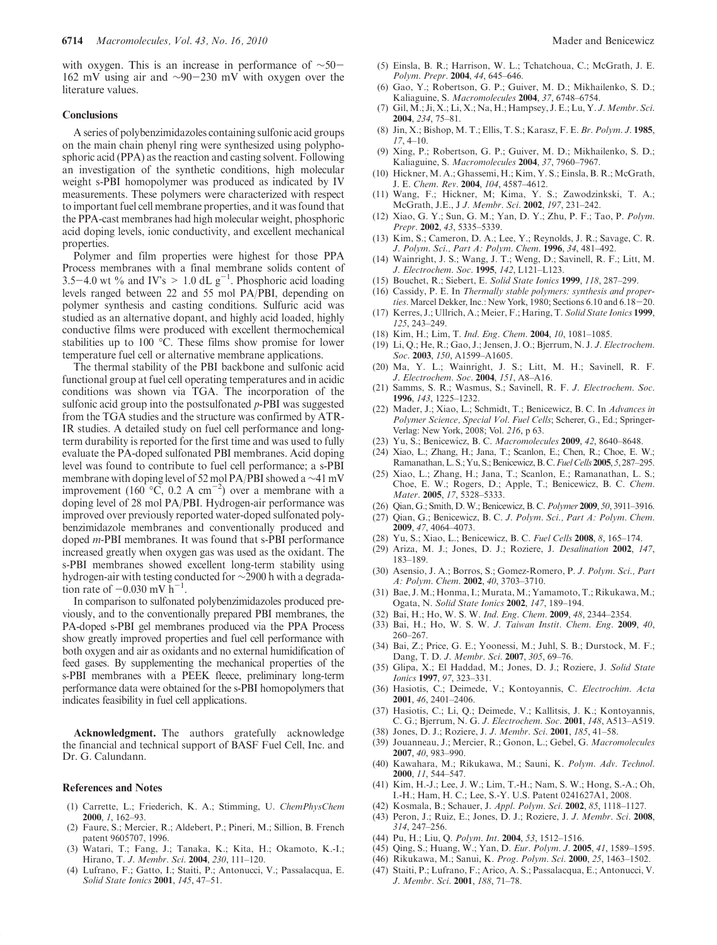with oxygen. This is an increase in performance of  $~\sim 50-$ 162 mV using air and ∼90-230 mV with oxygen over the literature values.

## **Conclusions**

A series of polybenzimidazoles containing sulfonic acid groups on the main chain phenyl ring were synthesized using polyphosphoric acid (PPA) as the reaction and casting solvent. Following an investigation of the synthetic conditions, high molecular weight s-PBI homopolymer was produced as indicated by IV measurements. These polymers were characterized with respect to important fuel cell membrane properties, and it was found that the PPA-cast membranes had high molecular weight, phosphoric acid doping levels, ionic conductivity, and excellent mechanical properties.

Polymer and film properties were highest for those PPA Process membranes with a final membrane solids content of 3.5–4.0 wt % and IV's  $> 1.0$  dL g<sup>-1</sup>. Phosphoric acid loading levels ranged between 22 and 55 mol PA/PBI, depending on polymer synthesis and casting conditions. Sulfuric acid was studied as an alternative dopant, and highly acid loaded, highly conductive films were produced with excellent thermochemical stabilities up to 100  $\degree$ C. These films show promise for lower temperature fuel cell or alternative membrane applications.

The thermal stability of the PBI backbone and sulfonic acid functional group at fuel cell operating temperatures and in acidic conditions was shown via TGA. The incorporation of the sulfonic acid group into the postsulfonated  $p$ -PBI was suggested from the TGA studies and the structure was confirmed by ATR-IR studies. A detailed study on fuel cell performance and longterm durability is reported for the first time and was used to fully evaluate the PA-doped sulfonated PBI membranes. Acid doping level was found to contribute to fuel cell performance; a s-PBI membrane with doping level of 52 mol PA/PBI showed a ∼41 mV improvement (160 °C, 0.2 A cm<sup>-2</sup>) over a membrane with a doping level of 28 mol PA/PBI. Hydrogen-air performance was improved over previously reported water-doped sulfonated polybenzimidazole membranes and conventionally produced and doped m-PBI membranes. It was found that s-PBI performance increased greatly when oxygen gas was used as the oxidant. The s-PBI membranes showed excellent long-term stability using hydrogen-air with testing conducted for ∼2900 h with a degradation rate of  $-0.030$  mV  $h^{-1}$ .

In comparison to sulfonated polybenzimidazoles produced previously, and to the conventionally prepared PBI membranes, the PA-doped s-PBI gel membranes produced via the PPA Process show greatly improved properties and fuel cell performance with both oxygen and air as oxidants and no external humidification of feed gases. By supplementing the mechanical properties of the s-PBI membranes with a PEEK fleece, preliminary long-term performance data were obtained for the s-PBI homopolymers that indicates feasibility in fuel cell applications.

Acknowledgment. The authors gratefully acknowledge the financial and technical support of BASF Fuel Cell, Inc. and Dr. G. Calundann.

## References and Notes

- (1) Carrette, L.; Friederich, K. A.; Stimming, U. ChemPhysChem 2000, 1, 162–93.
- (2) Faure, S.; Mercier, R.; Aldebert, P.; Pineri, M.; Sillion, B. French patent 9605707, 1996.
- (3) Watari, T.; Fang, J.; Tanaka, K.; Kita, H.; Okamoto, K.-I.; Hirano, T. J. Membr. Sci. 2004, 230, 111–120.
- (4) Lufrano, F.; Gatto, I.; Staiti, P.; Antonucci, V.; Passalacqua, E. Solid State Ionics 2001, 145, 47–51.
- (5) Einsla, B. R.; Harrison, W. L.; Tchatchoua, C.; McGrath, J. E. Polym. Prepr. 2004, 44, 645–646.
- (6) Gao, Y.; Robertson, G. P.; Guiver, M. D.; Mikhailenko, S. D.; Kaliaguine, S. Macromolecules 2004, 37, 6748–6754.
- (7) Gil, M.; Ji, X.; Li, X.; Na, H.; Hampsey, J. E.; Lu, Y. J. Membr. Sci. 2004, 234, 75–81.
- (8) Jin, X.; Bishop, M. T.; Ellis, T. S.; Karasz, F. E. Br. Polym. J. 1985,  $17, 4-10.$
- (9) Xing, P.; Robertson, G. P.; Guiver, M. D.; Mikhailenko, S. D.; Kaliaguine, S. Macromolecules 2004, 37, 7960-7967.
- (10) Hickner, M. A.; Ghassemi, H.; Kim, Y. S.; Einsla, B. R.; McGrath, J. E. Chem. Rev. 2004, 104, 4587–4612.
- (11) Wang, F.; Hickner, M; Kima, Y. S.; Zawodzinkski, T. A.; McGrath, J.E., J J. Membr. Sci. 2002, 197, 231–242.
- (12) Xiao, G. Y.; Sun, G. M.; Yan, D. Y.; Zhu, P. F.; Tao, P. Polym. Prepr. 2002, 43, 5335–5339.
- (13) Kim, S.; Cameron, D. A.; Lee, Y.; Reynolds, J. R.; Savage, C. R. J. Polym. Sci., Part A: Polym. Chem. 1996, 34, 481–492.
- (14) Wainright, J. S.; Wang, J. T.; Weng, D.; Savinell, R. F.; Litt, M. J. Electrochem. Soc. 1995, 142, L121–L123.
- (15) Bouchet, R.; Siebert, E. Solid State Ionics 1999, 118, 287–299.
- (16) Cassidy, P. E. In Thermally stable polymers: synthesis and properties. Marcel Dekker, Inc.: New York, 1980; Sections 6.10 and 6.18-20.
- (17) Kerres, J.; Ullrich, A.; Meier, F.; Haring, T. Solid State Ionics 1999, 125, 243–249.
- (18) Kim, H.; Lim, T. Ind. Eng. Chem. 2004, 10, 1081–1085.
- (19) Li, Q.; He, R.; Gao, J.; Jensen, J. O.; Bjerrum, N. J. J. Electrochem. Soc. 2003, 150, A1599–A1605.
- (20) Ma, Y. L.; Wainright, J. S.; Litt, M. H.; Savinell, R. F. J. Electrochem. Soc. 2004, 151, A8–A16.
- (21) Samms, S. R.; Wasmus, S.; Savinell, R. F. J. Electrochem. Soc. 1996, 143, 1225–1232.
- (22) Mader, J.; Xiao, L.; Schmidt, T.; Benicewicz, B. C. In Advances in Polymer Science, Special Vol. Fuel Cells; Scherer, G., Ed.; Springer-Verlag: New York, 2008; Vol. 216, p 63.
- (23) Yu, S.; Benicewicz, B. C. Macromolecules 2009, 42, 8640–8648.
- (24) Xiao, L.; Zhang, H.; Jana, T.; Scanlon, E.; Chen, R.; Choe, E. W.; Ramanathan, L. S.; Yu, S.; Benicewicz, B. C. Fuel Cells 2005, 5, 287-295.
- (25) Xiao, L.; Zhang, H.; Jana, T.; Scanlon, E.; Ramanathan, L. S.; Choe, E. W.; Rogers, D.; Apple, T.; Benicewicz, B. C. Chem. Mater. 2005, 17, 5328–5333.
- (26) Qian, G.; Smith, D.W.; Benicewicz, B. C.Polymer 2009, 50, 3911–3916.
- (27) Qian, G.; Benicewicz, B. C. J. Polym. Sci., Part A: Polym. Chem. 2009, 47, 4064–4073.
- (28) Yu, S.; Xiao, L.; Benicewicz, B. C. Fuel Cells 2008, 8, 165–174.
- (29) Ariza, M. J.; Jones, D. J.; Roziere, J. Desalination 2002, 147, 183–189.
- (30) Asensio, J. A.; Borros, S.; Gomez-Romero, P. J. Polym. Sci., Part A: Polym. Chem. 2002, 40, 3703-3710.
- (31) Bae, J. M.; Honma, I.; Murata,M.; Yamamoto, T.; Rikukawa,M.; Ogata, N. Solid State Ionics 2002, 147, 189–194.
- (32) Bai, H.; Ho, W. S. W. Ind. Eng. Chem. 2009, 48, 2344–2354.
- (33) Bai, H.; Ho, W. S. W. J. Taiwan Instit. Chem. Eng. 2009, 40, 260–267.
- (34) Bai, Z.; Price, G. E.; Yoonessi, M.; Juhl, S. B.; Durstock, M. F.; Dang, T. D. J. Membr. Sci. 2007, 305, 69–76.
- (35) Glipa, X.; El Haddad, M.; Jones, D. J.; Roziere, J. Solid State Ionics 1997, 97, 323–331.
- (36) Hasiotis, C.; Deimede, V.; Kontoyannis, C. Electrochim. Acta 2001, 46, 2401–2406.
- (37) Hasiotis, C.; Li, Q.; Deimede, V.; Kallitsis, J. K.; Kontoyannis, C. G.; Bjerrum, N. G. J. Electrochem. Soc. 2001, 148, A513–A519.
- (38) Jones, D. J.; Roziere, J. J. Membr. Sci. 2001, 185, 41–58.
- (39) Jouanneau, J.; Mercier, R.; Gonon, L.; Gebel, G. Macromolecules 2007, 40, 983–990.
- (40) Kawahara, M.; Rikukawa, M.; Sauni, K. Polym. Adv. Technol. 2000, 11, 544–547.
- (41) Kim, H.-J.; Lee, J. W.; Lim, T.-H.; Nam, S. W.; Hong, S.-A.; Oh, I.-H.; Ham, H. C.; Lee, S.-Y. U.S. Patent 0241627A1, 2008.
- (42) Kosmala, B.; Schauer, J. Appl. Polym. Sci. 2002, 85, 1118–1127. (43) Peron, J.; Ruiz, E.; Jones, D. J.; Roziere, J. J. Membr. Sci. 2008,
- 314, 247–256. (44) Pu, H.; Liu, Q. Polym. Int. 2004, 53, 1512–1516.
- (45) Qing, S.; Huang, W.; Yan, D. Eur. Polym. J. 2005, 41, 1589–1595.
- (46) Rikukawa, M.; Sanui, K. Prog. Polym. Sci. 2000, 25, 1463–1502.
- (47) Staiti, P.; Lufrano, F.; Arico, A. S.; Passalacqua, E.; Antonucci, V. J. Membr. Sci. 2001, 188, 71–78.